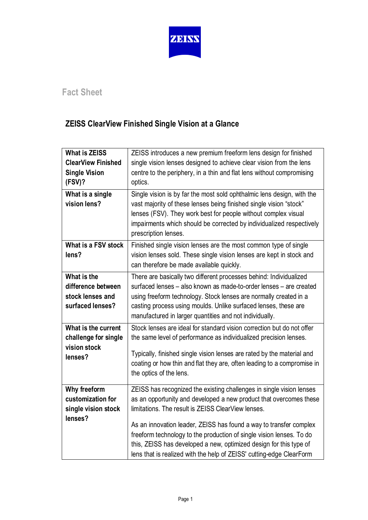

## **Fact Sheet**

## **ZEISS ClearView Finished Single Vision at a Glance**

| <b>What is ZEISS</b><br><b>ClearView Finished</b><br><b>Single Vision</b><br>(FSV)?<br>What is a single<br>vision lens? | ZEISS introduces a new premium freeform lens design for finished<br>single vision lenses designed to achieve clear vision from the lens<br>centre to the periphery, in a thin and flat lens without compromising<br>optics.<br>Single vision is by far the most sold ophthalmic lens design, with the<br>vast majority of these lenses being finished single vision "stock"<br>lenses (FSV). They work best for people without complex visual<br>impairments which should be corrected by individualized respectively<br>prescription lenses. |
|-------------------------------------------------------------------------------------------------------------------------|-----------------------------------------------------------------------------------------------------------------------------------------------------------------------------------------------------------------------------------------------------------------------------------------------------------------------------------------------------------------------------------------------------------------------------------------------------------------------------------------------------------------------------------------------|
| What is a FSV stock<br>lens?                                                                                            | Finished single vision lenses are the most common type of single<br>vision lenses sold. These single vision lenses are kept in stock and<br>can therefore be made available quickly.                                                                                                                                                                                                                                                                                                                                                          |
| What is the<br>difference between<br>stock lenses and<br>surfaced lenses?                                               | There are basically two different processes behind: Individualized<br>surfaced lenses - also known as made-to-order lenses - are created<br>using freeform technology. Stock lenses are normally created in a<br>casting process using moulds. Unlike surfaced lenses, these are<br>manufactured in larger quantities and not individually.                                                                                                                                                                                                   |
| What is the current<br>challenge for single<br>vision stock<br>lenses?                                                  | Stock lenses are ideal for standard vision correction but do not offer<br>the same level of performance as individualized precision lenses.<br>Typically, finished single vision lenses are rated by the material and<br>coating or how thin and flat they are, often leading to a compromise in<br>the optics of the lens.                                                                                                                                                                                                                   |
| Why freeform<br>customization for<br>single vision stock<br>lenses?                                                     | ZEISS has recognized the existing challenges in single vision lenses<br>as an opportunity and developed a new product that overcomes these<br>limitations. The result is ZEISS ClearView lenses.<br>As an innovation leader, ZEISS has found a way to transfer complex<br>freeform technology to the production of single vision lenses. To do<br>this, ZEISS has developed a new, optimized design for this type of<br>lens that is realized with the help of ZEISS' cutting-edge ClearForm                                                  |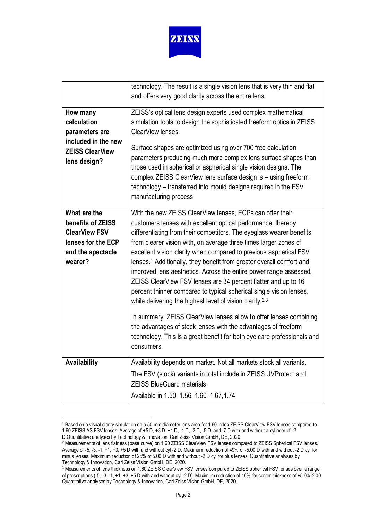

| technology. The result is a single vision lens that is very thin and flat<br>and offers very good clarity across the entire lens.<br>ZEISS's optical lens design experts used complex mathematical<br>How many<br>calculation<br>simulation tools to design the sophisticated freeform optics in ZEISS<br>ClearView lenses.<br>parameters are<br>included in the new<br>Surface shapes are optimized using over 700 free calculation<br><b>ZEISS ClearView</b><br>parameters producing much more complex lens surface shapes than<br>lens design?<br>those used in spherical or aspherical single vision designs. The<br>complex ZEISS ClearView lens surface design is - using freeform<br>technology – transferred into mould designs required in the FSV<br>manufacturing process.<br>What are the<br>With the new ZEISS ClearView lenses, ECPs can offer their<br>benefits of ZEISS<br>customers lenses with excellent optical performance, thereby<br><b>ClearView FSV</b><br>differentiating from their competitors. The eyeglass wearer benefits<br>lenses for the ECP<br>from clearer vision with, on average three times larger zones of<br>excellent vision clarity when compared to previous aspherical FSV<br>and the spectacle<br>wearer?<br>lenses. <sup>1</sup> Additionally, they benefit from greater overall comfort and<br>improved lens aesthetics. Across the entire power range assessed,<br>ZEISS ClearView FSV lenses are 34 percent flatter and up to 16<br>percent thinner compared to typical spherical single vision lenses,<br>while delivering the highest level of vision clarity. <sup>2,3</sup><br>In summary: ZEISS ClearView lenses allow to offer lenses combining<br>the advantages of stock lenses with the advantages of freeform<br>technology. This is a great benefit for both eye care professionals and<br>consumers.<br>Availability<br>Availability depends on market. Not all markets stock all variants.<br>The FSV (stock) variants in total include in ZEISS UVProtect and<br><b>ZEISS BlueGuard materials</b><br>Available in 1.50, 1.56, 1.60, 1.67, 1.74 |  |
|---------------------------------------------------------------------------------------------------------------------------------------------------------------------------------------------------------------------------------------------------------------------------------------------------------------------------------------------------------------------------------------------------------------------------------------------------------------------------------------------------------------------------------------------------------------------------------------------------------------------------------------------------------------------------------------------------------------------------------------------------------------------------------------------------------------------------------------------------------------------------------------------------------------------------------------------------------------------------------------------------------------------------------------------------------------------------------------------------------------------------------------------------------------------------------------------------------------------------------------------------------------------------------------------------------------------------------------------------------------------------------------------------------------------------------------------------------------------------------------------------------------------------------------------------------------------------------------------------------------------------------------------------------------------------------------------------------------------------------------------------------------------------------------------------------------------------------------------------------------------------------------------------------------------------------------------------------------------------------------------------------------------------------------------------------------------------------------------------------------|--|
|                                                                                                                                                                                                                                                                                                                                                                                                                                                                                                                                                                                                                                                                                                                                                                                                                                                                                                                                                                                                                                                                                                                                                                                                                                                                                                                                                                                                                                                                                                                                                                                                                                                                                                                                                                                                                                                                                                                                                                                                                                                                                                               |  |
|                                                                                                                                                                                                                                                                                                                                                                                                                                                                                                                                                                                                                                                                                                                                                                                                                                                                                                                                                                                                                                                                                                                                                                                                                                                                                                                                                                                                                                                                                                                                                                                                                                                                                                                                                                                                                                                                                                                                                                                                                                                                                                               |  |
|                                                                                                                                                                                                                                                                                                                                                                                                                                                                                                                                                                                                                                                                                                                                                                                                                                                                                                                                                                                                                                                                                                                                                                                                                                                                                                                                                                                                                                                                                                                                                                                                                                                                                                                                                                                                                                                                                                                                                                                                                                                                                                               |  |
|                                                                                                                                                                                                                                                                                                                                                                                                                                                                                                                                                                                                                                                                                                                                                                                                                                                                                                                                                                                                                                                                                                                                                                                                                                                                                                                                                                                                                                                                                                                                                                                                                                                                                                                                                                                                                                                                                                                                                                                                                                                                                                               |  |
|                                                                                                                                                                                                                                                                                                                                                                                                                                                                                                                                                                                                                                                                                                                                                                                                                                                                                                                                                                                                                                                                                                                                                                                                                                                                                                                                                                                                                                                                                                                                                                                                                                                                                                                                                                                                                                                                                                                                                                                                                                                                                                               |  |
|                                                                                                                                                                                                                                                                                                                                                                                                                                                                                                                                                                                                                                                                                                                                                                                                                                                                                                                                                                                                                                                                                                                                                                                                                                                                                                                                                                                                                                                                                                                                                                                                                                                                                                                                                                                                                                                                                                                                                                                                                                                                                                               |  |
|                                                                                                                                                                                                                                                                                                                                                                                                                                                                                                                                                                                                                                                                                                                                                                                                                                                                                                                                                                                                                                                                                                                                                                                                                                                                                                                                                                                                                                                                                                                                                                                                                                                                                                                                                                                                                                                                                                                                                                                                                                                                                                               |  |
|                                                                                                                                                                                                                                                                                                                                                                                                                                                                                                                                                                                                                                                                                                                                                                                                                                                                                                                                                                                                                                                                                                                                                                                                                                                                                                                                                                                                                                                                                                                                                                                                                                                                                                                                                                                                                                                                                                                                                                                                                                                                                                               |  |
|                                                                                                                                                                                                                                                                                                                                                                                                                                                                                                                                                                                                                                                                                                                                                                                                                                                                                                                                                                                                                                                                                                                                                                                                                                                                                                                                                                                                                                                                                                                                                                                                                                                                                                                                                                                                                                                                                                                                                                                                                                                                                                               |  |
|                                                                                                                                                                                                                                                                                                                                                                                                                                                                                                                                                                                                                                                                                                                                                                                                                                                                                                                                                                                                                                                                                                                                                                                                                                                                                                                                                                                                                                                                                                                                                                                                                                                                                                                                                                                                                                                                                                                                                                                                                                                                                                               |  |
|                                                                                                                                                                                                                                                                                                                                                                                                                                                                                                                                                                                                                                                                                                                                                                                                                                                                                                                                                                                                                                                                                                                                                                                                                                                                                                                                                                                                                                                                                                                                                                                                                                                                                                                                                                                                                                                                                                                                                                                                                                                                                                               |  |
|                                                                                                                                                                                                                                                                                                                                                                                                                                                                                                                                                                                                                                                                                                                                                                                                                                                                                                                                                                                                                                                                                                                                                                                                                                                                                                                                                                                                                                                                                                                                                                                                                                                                                                                                                                                                                                                                                                                                                                                                                                                                                                               |  |
|                                                                                                                                                                                                                                                                                                                                                                                                                                                                                                                                                                                                                                                                                                                                                                                                                                                                                                                                                                                                                                                                                                                                                                                                                                                                                                                                                                                                                                                                                                                                                                                                                                                                                                                                                                                                                                                                                                                                                                                                                                                                                                               |  |
|                                                                                                                                                                                                                                                                                                                                                                                                                                                                                                                                                                                                                                                                                                                                                                                                                                                                                                                                                                                                                                                                                                                                                                                                                                                                                                                                                                                                                                                                                                                                                                                                                                                                                                                                                                                                                                                                                                                                                                                                                                                                                                               |  |
|                                                                                                                                                                                                                                                                                                                                                                                                                                                                                                                                                                                                                                                                                                                                                                                                                                                                                                                                                                                                                                                                                                                                                                                                                                                                                                                                                                                                                                                                                                                                                                                                                                                                                                                                                                                                                                                                                                                                                                                                                                                                                                               |  |
|                                                                                                                                                                                                                                                                                                                                                                                                                                                                                                                                                                                                                                                                                                                                                                                                                                                                                                                                                                                                                                                                                                                                                                                                                                                                                                                                                                                                                                                                                                                                                                                                                                                                                                                                                                                                                                                                                                                                                                                                                                                                                                               |  |
|                                                                                                                                                                                                                                                                                                                                                                                                                                                                                                                                                                                                                                                                                                                                                                                                                                                                                                                                                                                                                                                                                                                                                                                                                                                                                                                                                                                                                                                                                                                                                                                                                                                                                                                                                                                                                                                                                                                                                                                                                                                                                                               |  |
|                                                                                                                                                                                                                                                                                                                                                                                                                                                                                                                                                                                                                                                                                                                                                                                                                                                                                                                                                                                                                                                                                                                                                                                                                                                                                                                                                                                                                                                                                                                                                                                                                                                                                                                                                                                                                                                                                                                                                                                                                                                                                                               |  |
|                                                                                                                                                                                                                                                                                                                                                                                                                                                                                                                                                                                                                                                                                                                                                                                                                                                                                                                                                                                                                                                                                                                                                                                                                                                                                                                                                                                                                                                                                                                                                                                                                                                                                                                                                                                                                                                                                                                                                                                                                                                                                                               |  |
|                                                                                                                                                                                                                                                                                                                                                                                                                                                                                                                                                                                                                                                                                                                                                                                                                                                                                                                                                                                                                                                                                                                                                                                                                                                                                                                                                                                                                                                                                                                                                                                                                                                                                                                                                                                                                                                                                                                                                                                                                                                                                                               |  |
|                                                                                                                                                                                                                                                                                                                                                                                                                                                                                                                                                                                                                                                                                                                                                                                                                                                                                                                                                                                                                                                                                                                                                                                                                                                                                                                                                                                                                                                                                                                                                                                                                                                                                                                                                                                                                                                                                                                                                                                                                                                                                                               |  |
|                                                                                                                                                                                                                                                                                                                                                                                                                                                                                                                                                                                                                                                                                                                                                                                                                                                                                                                                                                                                                                                                                                                                                                                                                                                                                                                                                                                                                                                                                                                                                                                                                                                                                                                                                                                                                                                                                                                                                                                                                                                                                                               |  |
|                                                                                                                                                                                                                                                                                                                                                                                                                                                                                                                                                                                                                                                                                                                                                                                                                                                                                                                                                                                                                                                                                                                                                                                                                                                                                                                                                                                                                                                                                                                                                                                                                                                                                                                                                                                                                                                                                                                                                                                                                                                                                                               |  |
|                                                                                                                                                                                                                                                                                                                                                                                                                                                                                                                                                                                                                                                                                                                                                                                                                                                                                                                                                                                                                                                                                                                                                                                                                                                                                                                                                                                                                                                                                                                                                                                                                                                                                                                                                                                                                                                                                                                                                                                                                                                                                                               |  |
|                                                                                                                                                                                                                                                                                                                                                                                                                                                                                                                                                                                                                                                                                                                                                                                                                                                                                                                                                                                                                                                                                                                                                                                                                                                                                                                                                                                                                                                                                                                                                                                                                                                                                                                                                                                                                                                                                                                                                                                                                                                                                                               |  |
|                                                                                                                                                                                                                                                                                                                                                                                                                                                                                                                                                                                                                                                                                                                                                                                                                                                                                                                                                                                                                                                                                                                                                                                                                                                                                                                                                                                                                                                                                                                                                                                                                                                                                                                                                                                                                                                                                                                                                                                                                                                                                                               |  |
|                                                                                                                                                                                                                                                                                                                                                                                                                                                                                                                                                                                                                                                                                                                                                                                                                                                                                                                                                                                                                                                                                                                                                                                                                                                                                                                                                                                                                                                                                                                                                                                                                                                                                                                                                                                                                                                                                                                                                                                                                                                                                                               |  |
|                                                                                                                                                                                                                                                                                                                                                                                                                                                                                                                                                                                                                                                                                                                                                                                                                                                                                                                                                                                                                                                                                                                                                                                                                                                                                                                                                                                                                                                                                                                                                                                                                                                                                                                                                                                                                                                                                                                                                                                                                                                                                                               |  |
|                                                                                                                                                                                                                                                                                                                                                                                                                                                                                                                                                                                                                                                                                                                                                                                                                                                                                                                                                                                                                                                                                                                                                                                                                                                                                                                                                                                                                                                                                                                                                                                                                                                                                                                                                                                                                                                                                                                                                                                                                                                                                                               |  |
|                                                                                                                                                                                                                                                                                                                                                                                                                                                                                                                                                                                                                                                                                                                                                                                                                                                                                                                                                                                                                                                                                                                                                                                                                                                                                                                                                                                                                                                                                                                                                                                                                                                                                                                                                                                                                                                                                                                                                                                                                                                                                                               |  |

<span id="page-1-0"></span><sup>1</sup> Based on a visual clarity simulation on a 50 mm diameter lens area for 1.60 index ZEISS ClearView FSV lenses compared to 1.60 ZEISS AS FSV lenses. Average of +5 D, +3 D, +1 D, -1 D, -3 D, -5 D, and -7 D with and without a cylinder of -2 D.Quantitative analyses by Technology & Innovation, Carl Zeiss Vision GmbH, DE, 2020.

<span id="page-1-1"></span><sup>2</sup> Measurements of lens flatness (base curve) on 1.60 ZEISS ClearView FSV lenses compared to ZEISS Spherical FSV lenses. Average of -5, -3, -1, +1, +3, +5 D with and without cyl -2 D. Maximum reduction of 49% of -5.00 D with and without -2 D cyl for minus lenses. Maximum reduction of 25% of 5.00 D with and without -2 D cyl for plus lenses. Quantitative analyses by Technology & Innovation, Carl Zeiss Vision GmbH, DE, 2020.

<span id="page-1-2"></span><sup>3</sup> Measurements of lens thickness on 1.60 ZEISS ClearView FSV lenses compared to ZEISS spherical FSV lenses over a range of prescriptions (-5, -3, -1, +1, +3, +5 D with and without cyl -2 D). Maximum reduction of 16% for center thickness of +5.00/-2.00. Quantitative analyses by Technology & Innovation, Carl Zeiss Vision GmbH, DE, 2020.